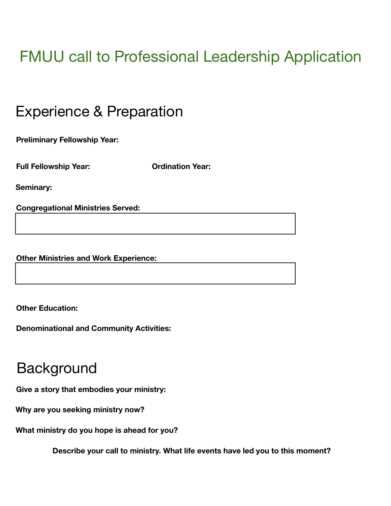# FMUU call to Professional Leadership Application

### Experience & Preparation

**Preliminary Fellowship Year:**

**Full Fellowship Year: Ordination Year:**

**Seminary:**

**Congregational Ministries Served:**

**Other Ministries and Work Experience:**

**Other Education:**

**Denominational and Community Activities:**

### **Background**

**Give a story that embodies your ministry:**

**Why are you seeking ministry now?**

**What ministry do you hope is ahead for you?**

**Describe your call to ministry. What life events have led you to this moment?**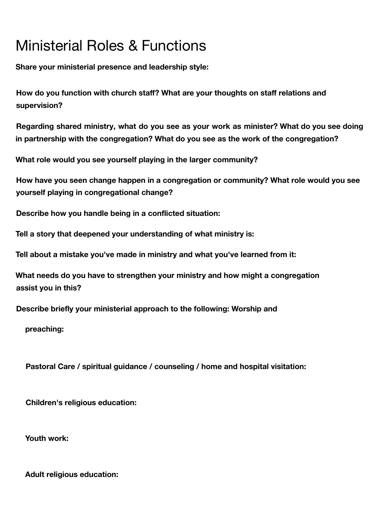## Ministerial Roles & Functions

**Share your ministerial presence and leadership style:**

**How do you function with church staff? What are your thoughts on staff relations and supervision?**

**Regarding shared ministry, what do you see as your work as minister? What do you see doing in partnership with the congregation? What do you see as the work of the congregation?**

**What role would you see yourself playing in the larger community?**

**How have you seen change happen in a congregation or community? What role would you see yourself playing in congregational change?**

**Describe how you handle being in a conflicted situation:**

**Tell a story that deepened your understanding of what ministry is:**

**Tell about a mistake you've made in ministry and what you've learned from it:**

**What needs do you have to strengthen your ministry and how might a congregation assist you in this?**

**Describe briefly your ministerial approach to the following: Worship and**

**preaching:**

**Pastoral Care / spiritual guidance / counseling / home and hospital visitation:**

**Children's religious education:**

**Youth work:**

**Adult religious education:**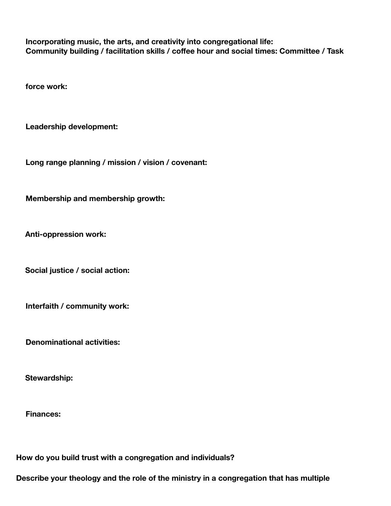**Incorporating music, the arts, and creativity into congregational life: Community building / facilitation skills / coffee hour and social times: Committee / Task**

**force work:**

**Leadership development:**

**Long range planning / mission / vision / covenant:**

**Membership and membership growth:**

**Anti-oppression work:**

**Social justice / social action:**

**Interfaith / community work:**

**Denominational activities:**

**Stewardship:**

**Finances:**

**How do you build trust with a congregation and individuals?**

**Describe your theology and the role of the ministry in a congregation that has multiple**